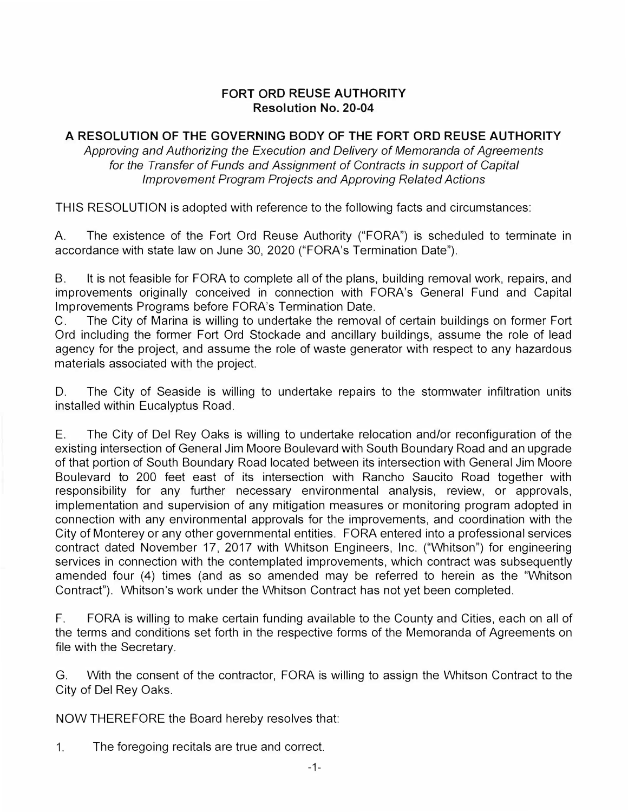## **FORT ORD REUSE AUTHORITY Resolution No. 20-04**

## **A RESOLUTION OF THE GOVERNING BODY OF THE FORT ORD REUSE AUTHORITY**

*Approving and Authorizing the Execution and Delivery of Memoranda of Agreements for the Transfer of Funds and Assignment of Contracts in support of Capital Improvement Program Projects and Approving Related Actions* 

THIS RESOLUTION is adopted with reference to the following facts and circumstances:

A. The existence of the Fort Ord Reuse Authority ("FORA") is scheduled to terminate in accordance with state law on June 30, 2020 ("FORA's Termination Date").

B. It is not feasible for FORA to complete all of the plans, building removal work, repairs, and improvements originally conceived in connection with FORA's General Fund and Capital Improvements Programs before FORA's Termination Date.

C. The City of Marina is willing to undertake the removal of certain buildings on former Fort Ord including the former Fort Ord Stockade and ancillary buildings, assume the role of lead agency for the project, and assume the role of waste generator with respect to any hazardous materials associated with the project.

D. The City of Seaside is willing to undertake repairs to the stormwater infiltration units installed within Eucalyptus Road.

E. The City of Del Rey Oaks is willing to undertake relocation and/or reconfiguration of the existing intersection of General Jim Moore Boulevard with South Boundary Road and an upgrade of that portion of South Boundary Road located between its intersection with General Jim Moore Boulevard to 200 feet east of its intersection with Rancho Saucito Road together with responsibility for any further necessary environmental analysis, review, or approvals, implementation and supervision of any mitigation measures or monitoring program adopted in connection with any environmental approvals for the improvements, and coordination with the City of Monterey or any other governmental entities. FORA entered into a professional services contract dated November 17, 2017 with Whitson Engineers, Inc. ("Whitson") for engineering services in connection with the contemplated improvements, which contract was subsequently amended four (4) times (and as so amended may be referred to herein as the "Whitson Contract"). Whitson's work under the Whitson Contract has not yet been completed.

F. FORA is willing to make certain funding available to the County and Cities, each on all of the terms and conditions set forth in the respective forms of the Memoranda of Agreements on file with the Secretary.

G. With the consent of the contractor, FORA is willing to assign the Whitson Contract to the City of Del Rey Oaks.

NOW THEREFORE the Board hereby resolves that:

1.The foregoing recitals are true and correct.